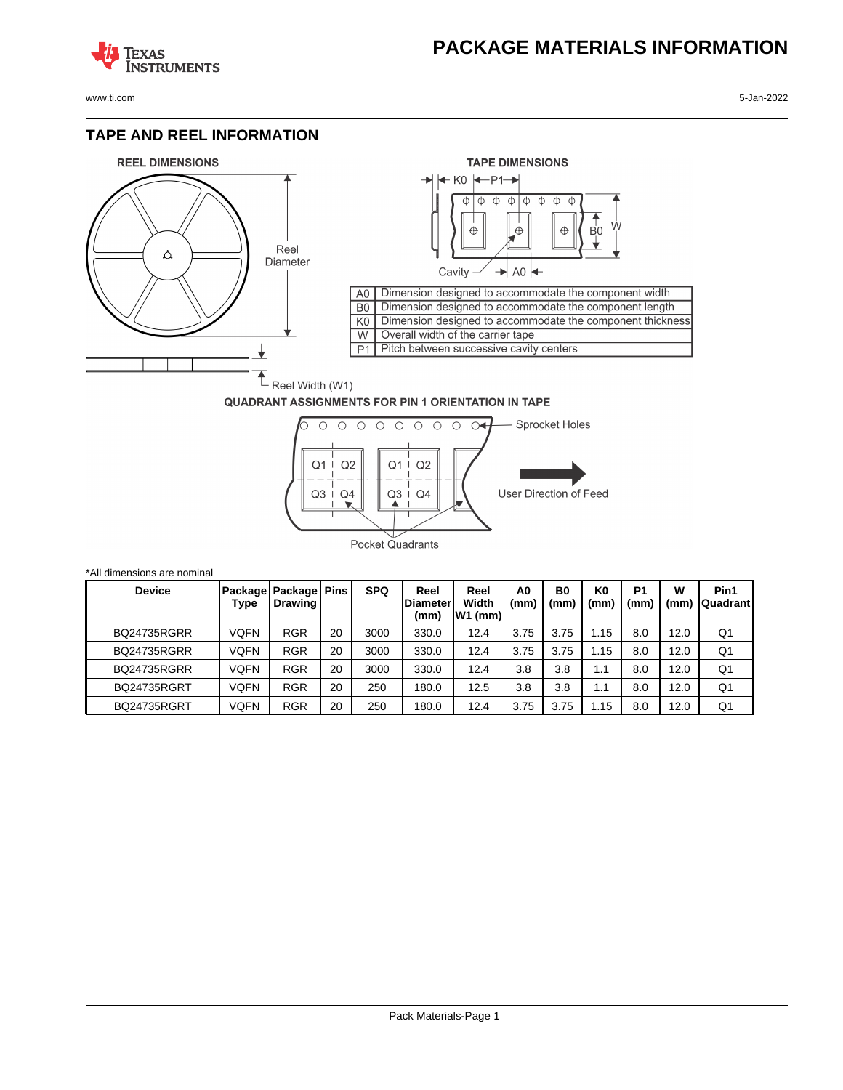## **PACKAGE MATERIALS INFORMATION**

**TEXAS NSTRUMENTS** 

www.ti.com 5-Jan-2022

### **TAPE AND REEL INFORMATION**





#### **QUADRANT ASSIGNMENTS FOR PIN 1 ORIENTATION IN TAPE**



| *All dimensions are nominal |      |                                            |    |            |                                 |                            |            |                        |            |                       |           |                         |
|-----------------------------|------|--------------------------------------------|----|------------|---------------------------------|----------------------------|------------|------------------------|------------|-----------------------|-----------|-------------------------|
| <b>Device</b>               | Type | Package   Package   Pins<br><b>Drawing</b> |    | <b>SPQ</b> | Reel<br><b>Diameter</b><br>(mm) | Reel<br>Width<br>$W1$ (mm) | A0<br>(mm) | B <sub>0</sub><br>(mm) | K0<br>(mm` | P <sub>1</sub><br>(mm | W<br>(mm) | Pin1<br><b>Quadrant</b> |
| <b>BQ24735RGRR</b>          | VQFN | <b>RGR</b>                                 | 20 | 3000       | 330.0                           | 12.4                       | 3.75       | 3.75                   | l.15       | 8.0                   | 12.0      | Q1                      |
| <b>BQ24735RGRR</b>          | VQFN | <b>RGR</b>                                 | 20 | 3000       | 330.0                           | 12.4                       | 3.75       | 3.75                   | 1.15       | 8.0                   | 12.0      | Q1                      |
| <b>BQ24735RGRR</b>          | VQFN | <b>RGR</b>                                 | 20 | 3000       | 330.0                           | 12.4                       | 3.8        | 3.8                    | 1.1        | 8.0                   | 12.0      | Q1                      |
| <b>BQ24735RGRT</b>          | VQFN | <b>RGR</b>                                 | 20 | 250        | 180.0                           | 12.5                       | 3.8        | 3.8                    | 1.1        | 8.0                   | 12.0      | Q <sub>1</sub>          |
| <b>BQ24735RGRT</b>          | VQFN | <b>RGR</b>                                 | 20 | 250        | 180.0                           | 12.4                       | 3.75       | 3.75                   | 1.15       | 8.0                   | 12.0      | Q1                      |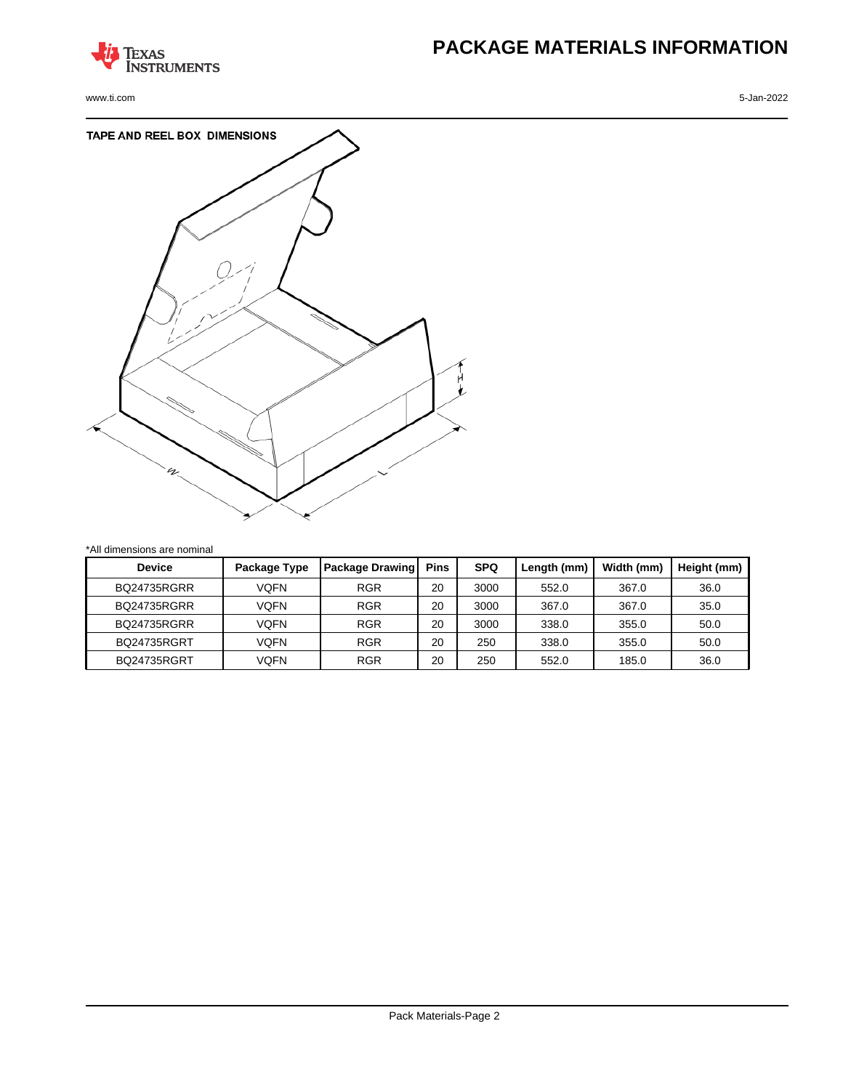

www.ti.com 5-Jan-2022

# **PACKAGE MATERIALS INFORMATION**



\*All dimensions are nominal

| <b>Device</b>      | Package Type | <b>Package Drawing</b> | <b>Pins</b> | <b>SPQ</b> | Length (mm) | Width (mm) | Height (mm) |
|--------------------|--------------|------------------------|-------------|------------|-------------|------------|-------------|
| <b>BO24735RGRR</b> | VOFN         | <b>RGR</b>             | 20          | 3000       | 552.0       | 367.0      | 36.0        |
| <b>BO24735RGRR</b> | VOFN         | <b>RGR</b>             | 20          | 3000       | 367.0       | 367.0      | 35.0        |
| <b>BO24735RGRR</b> | VOFN         | <b>RGR</b>             | 20          | 3000       | 338.0       | 355.0      | 50.0        |
| <b>BQ24735RGRT</b> | VOFN         | <b>RGR</b>             | 20          | 250        | 338.0       | 355.0      | 50.0        |
| <b>BQ24735RGRT</b> | VOFN         | <b>RGR</b>             | 20          | 250        | 552.0       | 185.0      | 36.0        |